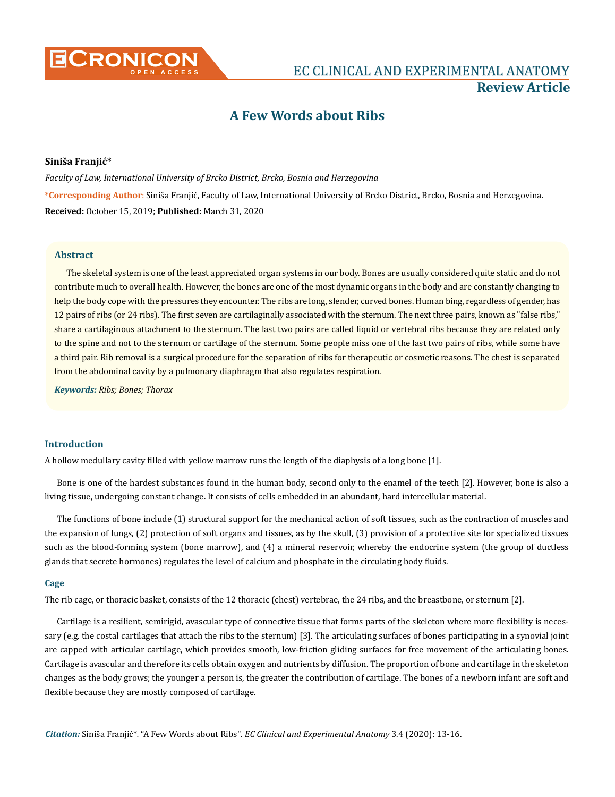

# **CONICON EXPERIMENTAL ANATOMY** ECCLINICAL AND EXPERIMENTAL ANATOMY **Review Article**

# **A Few Words about Ribs**

# **Siniša Franjić\***

*Faculty of Law, International University of Brcko District, Brcko, Bosnia and Herzegovina* **\*Corresponding Author**: Siniša Franjić, Faculty of Law, International University of Brcko District, Brcko, Bosnia and Herzegovina. **Received:** October 15, 2019; **Published:** March 31, 2020

# **Abstract**

The skeletal system is one of the least appreciated organ systems in our body. Bones are usually considered quite static and do not contribute much to overall health. However, the bones are one of the most dynamic organs in the body and are constantly changing to help the body cope with the pressures they encounter. The ribs are long, slender, curved bones. Human bing, regardless of gender, has 12 pairs of ribs (or 24 ribs). The first seven are cartilaginally associated with the sternum. The next three pairs, known as "false ribs," share a cartilaginous attachment to the sternum. The last two pairs are called liquid or vertebral ribs because they are related only to the spine and not to the sternum or cartilage of the sternum. Some people miss one of the last two pairs of ribs, while some have a third pair. Rib removal is a surgical procedure for the separation of ribs for therapeutic or cosmetic reasons. The chest is separated from the abdominal cavity by a pulmonary diaphragm that also regulates respiration.

*Keywords: Ribs; Bones; Thorax*

# **Introduction**

A hollow medullary cavity filled with yellow marrow runs the length of the diaphysis of a long bone [1].

Bone is one of the hardest substances found in the human body, second only to the enamel of the teeth [2]. However, bone is also a living tissue, undergoing constant change. It consists of cells embedded in an abundant, hard intercellular material.

The functions of bone include (1) structural support for the mechanical action of soft tissues, such as the contraction of muscles and the expansion of lungs, (2) protection of soft organs and tissues, as by the skull, (3) provision of a protective site for specialized tissues such as the blood-forming system (bone marrow), and (4) a mineral reservoir, whereby the endocrine system (the group of ductless glands that secrete hormones) regulates the level of calcium and phosphate in the circulating body fluids.

# **Cage**

The rib cage, or thoracic basket, consists of the 12 thoracic (chest) vertebrae, the 24 ribs, and the breastbone, or sternum [2].

Cartilage is a resilient, semirigid, avascular type of connective tissue that forms parts of the skeleton where more flexibility is necessary (e.g. the costal cartilages that attach the ribs to the sternum) [3]. The articulating surfaces of bones participating in a synovial joint are capped with articular cartilage, which provides smooth, low-friction gliding surfaces for free movement of the articulating bones. Cartilage is avascular and therefore its cells obtain oxygen and nutrients by diffusion. The proportion of bone and cartilage in the skeleton changes as the body grows; the younger a person is, the greater the contribution of cartilage. The bones of a newborn infant are soft and flexible because they are mostly composed of cartilage.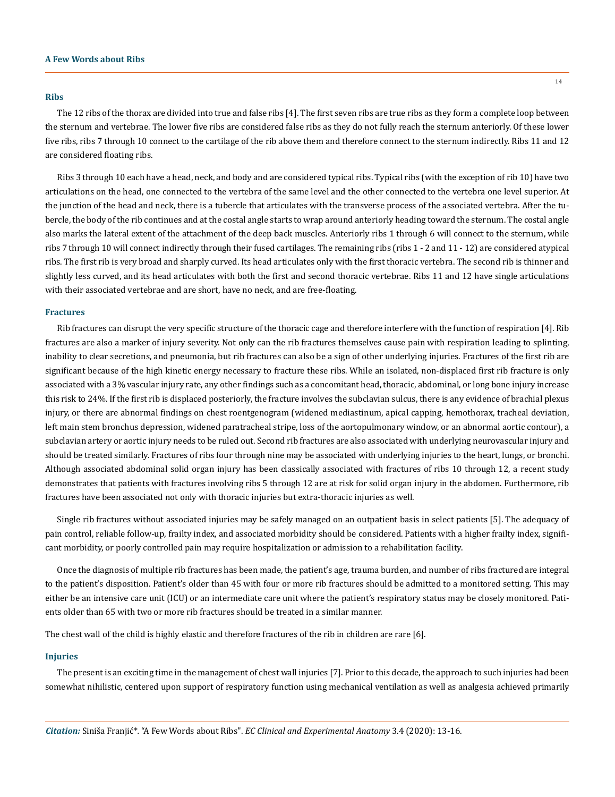# **A Few Words about Ribs**

#### **Ribs**

The 12 ribs of the thorax are divided into true and false ribs [4]. The first seven ribs are true ribs as they form a complete loop between the sternum and vertebrae. The lower five ribs are considered false ribs as they do not fully reach the sternum anteriorly. Of these lower five ribs, ribs 7 through 10 connect to the cartilage of the rib above them and therefore connect to the sternum indirectly. Ribs 11 and 12 are considered floating ribs.

Ribs 3 through 10 each have a head, neck, and body and are considered typical ribs. Typical ribs (with the exception of rib 10) have two articulations on the head, one connected to the vertebra of the same level and the other connected to the vertebra one level superior. At the junction of the head and neck, there is a tubercle that articulates with the transverse process of the associated vertebra. After the tubercle, the body of the rib continues and at the costal angle starts to wrap around anteriorly heading toward the sternum. The costal angle also marks the lateral extent of the attachment of the deep back muscles. Anteriorly ribs 1 through 6 will connect to the sternum, while ribs 7 through 10 will connect indirectly through their fused cartilages. The remaining ribs (ribs 1 - 2 and 11 - 12) are considered atypical ribs. The first rib is very broad and sharply curved. Its head articulates only with the first thoracic vertebra. The second rib is thinner and slightly less curved, and its head articulates with both the first and second thoracic vertebrae. Ribs 11 and 12 have single articulations with their associated vertebrae and are short, have no neck, and are free-floating.

#### **Fractures**

Rib fractures can disrupt the very specific structure of the thoracic cage and therefore interfere with the function of respiration [4]. Rib fractures are also a marker of injury severity. Not only can the rib fractures themselves cause pain with respiration leading to splinting, inability to clear secretions, and pneumonia, but rib fractures can also be a sign of other underlying injuries. Fractures of the first rib are significant because of the high kinetic energy necessary to fracture these ribs. While an isolated, non-displaced first rib fracture is only associated with a 3% vascular injury rate, any other findings such as a concomitant head, thoracic, abdominal, or long bone injury increase this risk to 24%. If the first rib is displaced posteriorly, the fracture involves the subclavian sulcus, there is any evidence of brachial plexus injury, or there are abnormal findings on chest roentgenogram (widened mediastinum, apical capping, hemothorax, tracheal deviation, left main stem bronchus depression, widened paratracheal stripe, loss of the aortopulmonary window, or an abnormal aortic contour), a subclavian artery or aortic injury needs to be ruled out. Second rib fractures are also associated with underlying neurovascular injury and should be treated similarly. Fractures of ribs four through nine may be associated with underlying injuries to the heart, lungs, or bronchi. Although associated abdominal solid organ injury has been classically associated with fractures of ribs 10 through 12, a recent study demonstrates that patients with fractures involving ribs 5 through 12 are at risk for solid organ injury in the abdomen. Furthermore, rib fractures have been associated not only with thoracic injuries but extra-thoracic injuries as well.

Single rib fractures without associated injuries may be safely managed on an outpatient basis in select patients [5]. The adequacy of pain control, reliable follow-up, frailty index, and associated morbidity should be considered. Patients with a higher frailty index, significant morbidity, or poorly controlled pain may require hospitalization or admission to a rehabilitation facility.

Once the diagnosis of multiple rib fractures has been made, the patient's age, trauma burden, and number of ribs fractured are integral to the patient's disposition. Patient's older than 45 with four or more rib fractures should be admitted to a monitored setting. This may either be an intensive care unit (ICU) or an intermediate care unit where the patient's respiratory status may be closely monitored. Patients older than 65 with two or more rib fractures should be treated in a similar manner.

The chest wall of the child is highly elastic and therefore fractures of the rib in children are rare [6].

#### **Injuries**

The present is an exciting time in the management of chest wall injuries [7]. Prior to this decade, the approach to such injuries had been somewhat nihilistic, centered upon support of respiratory function using mechanical ventilation as well as analgesia achieved primarily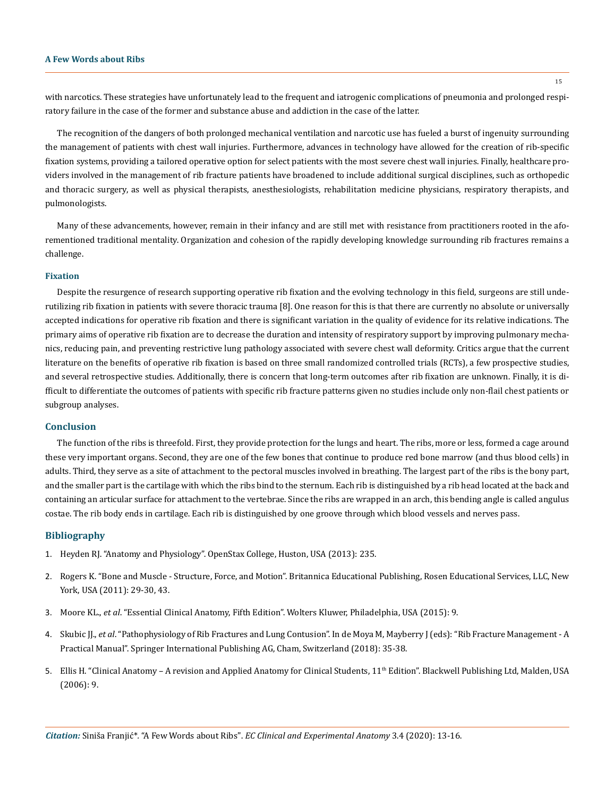with narcotics. These strategies have unfortunately lead to the frequent and iatrogenic complications of pneumonia and prolonged respiratory failure in the case of the former and substance abuse and addiction in the case of the latter.

The recognition of the dangers of both prolonged mechanical ventilation and narcotic use has fueled a burst of ingenuity surrounding the management of patients with chest wall injuries. Furthermore, advances in technology have allowed for the creation of rib-specific fixation systems, providing a tailored operative option for select patients with the most severe chest wall injuries. Finally, healthcare providers involved in the management of rib fracture patients have broadened to include additional surgical disciplines, such as orthopedic and thoracic surgery, as well as physical therapists, anesthesiologists, rehabilitation medicine physicians, respiratory therapists, and pulmonologists.

Many of these advancements, however, remain in their infancy and are still met with resistance from practitioners rooted in the aforementioned traditional mentality. Organization and cohesion of the rapidly developing knowledge surrounding rib fractures remains a challenge.

#### **Fixation**

Despite the resurgence of research supporting operative rib fixation and the evolving technology in this field, surgeons are still underutilizing rib fixation in patients with severe thoracic trauma [8]. One reason for this is that there are currently no absolute or universally accepted indications for operative rib fixation and there is significant variation in the quality of evidence for its relative indications. The primary aims of operative rib fixation are to decrease the duration and intensity of respiratory support by improving pulmonary mechanics, reducing pain, and preventing restrictive lung pathology associated with severe chest wall deformity. Critics argue that the current literature on the benefits of operative rib fixation is based on three small randomized controlled trials (RCTs), a few prospective studies, and several retrospective studies. Additionally, there is concern that long-term outcomes after rib fixation are unknown. Finally, it is difficult to differentiate the outcomes of patients with specific rib fracture patterns given no studies include only non-flail chest patients or subgroup analyses.

### **Conclusion**

The function of the ribs is threefold. First, they provide protection for the lungs and heart. The ribs, more or less, formed a cage around these very important organs. Second, they are one of the few bones that continue to produce red bone marrow (and thus blood cells) in adults. Third, they serve as a site of attachment to the pectoral muscles involved in breathing. The largest part of the ribs is the bony part, and the smaller part is the cartilage with which the ribs bind to the sternum. Each rib is distinguished by a rib head located at the back and containing an articular surface for attachment to the vertebrae. Since the ribs are wrapped in an arch, this bending angle is called angulus costae. The rib body ends in cartilage. Each rib is distinguished by one groove through which blood vessels and nerves pass.

# **Bibliography**

- 1. Heyden RJ. "Anatomy and Physiology". OpenStax College, Huston, USA (2013): 235.
- 2. Rogers K. "Bone and Muscle Structure, Force, and Motion". Britannica Educational Publishing, Rosen Educational Services, LLC, New York, USA (2011): 29-30, 43.
- 3. Moore KL., *et al*. "Essential Clinical Anatomy, Fifth Edition". Wolters Kluwer, Philadelphia, USA (2015): 9.
- 4. Skubic JJ., *et al*. "Pathophysiology of Rib Fractures and Lung Contusion". In de Moya M, Mayberry J (eds): "Rib Fracture Management A Practical Manual". Springer International Publishing AG, Cham, Switzerland (2018): 35-38.
- 5. Ellis H. "Clinical Anatomy A revision and Applied Anatomy for Clinical Students,  $11<sup>th</sup>$  Edition". Blackwell Publishing Ltd, Malden, USA (2006): 9.